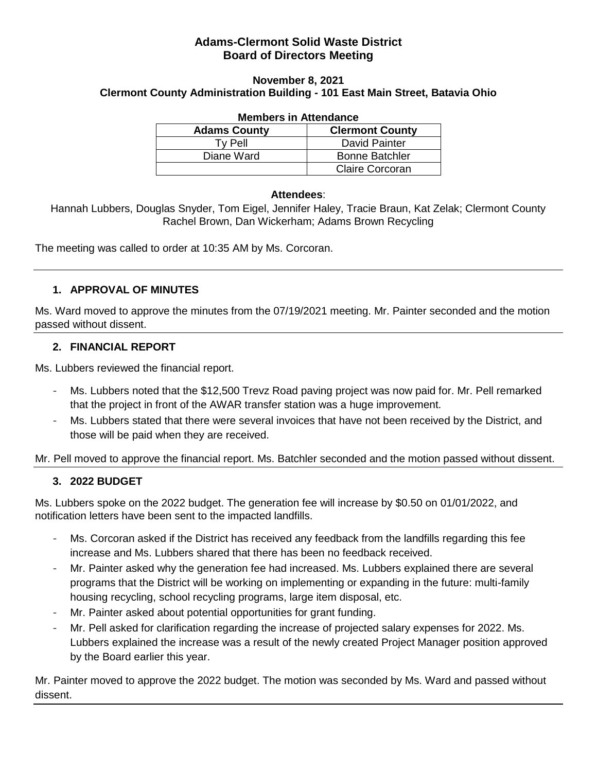## **Adams-Clermont Solid Waste District Board of Directors Meeting**

#### **November 8, 2021**

#### **Clermont County Administration Building - 101 East Main Street, Batavia Ohio**

| <b>Members in Attendance</b> |                        |
|------------------------------|------------------------|
| <b>Adams County</b>          | <b>Clermont County</b> |
| Ty Pell                      | <b>David Painter</b>   |
| Diane Ward                   | <b>Bonne Batchler</b>  |
|                              | <b>Claire Corcoran</b> |

# **Attendees**:

Hannah Lubbers, Douglas Snyder, Tom Eigel, Jennifer Haley, Tracie Braun, Kat Zelak; Clermont County Rachel Brown, Dan Wickerham; Adams Brown Recycling

The meeting was called to order at 10:35 AM by Ms. Corcoran.

#### **1. APPROVAL OF MINUTES**

Ms. Ward moved to approve the minutes from the 07/19/2021 meeting. Mr. Painter seconded and the motion passed without dissent.

#### **2. FINANCIAL REPORT**

Ms. Lubbers reviewed the financial report.

- Ms. Lubbers noted that the \$12,500 Trevz Road paving project was now paid for. Mr. Pell remarked that the project in front of the AWAR transfer station was a huge improvement.
- Ms. Lubbers stated that there were several invoices that have not been received by the District, and those will be paid when they are received.

Mr. Pell moved to approve the financial report. Ms. Batchler seconded and the motion passed without dissent.

## **3. 2022 BUDGET**

Ms. Lubbers spoke on the 2022 budget. The generation fee will increase by \$0.50 on 01/01/2022, and notification letters have been sent to the impacted landfills.

- Ms. Corcoran asked if the District has received any feedback from the landfills regarding this fee increase and Ms. Lubbers shared that there has been no feedback received.
- Mr. Painter asked why the generation fee had increased. Ms. Lubbers explained there are several programs that the District will be working on implementing or expanding in the future: multi-family housing recycling, school recycling programs, large item disposal, etc.
- Mr. Painter asked about potential opportunities for grant funding.
- Mr. Pell asked for clarification regarding the increase of projected salary expenses for 2022. Ms. Lubbers explained the increase was a result of the newly created Project Manager position approved by the Board earlier this year.

Mr. Painter moved to approve the 2022 budget. The motion was seconded by Ms. Ward and passed without dissent.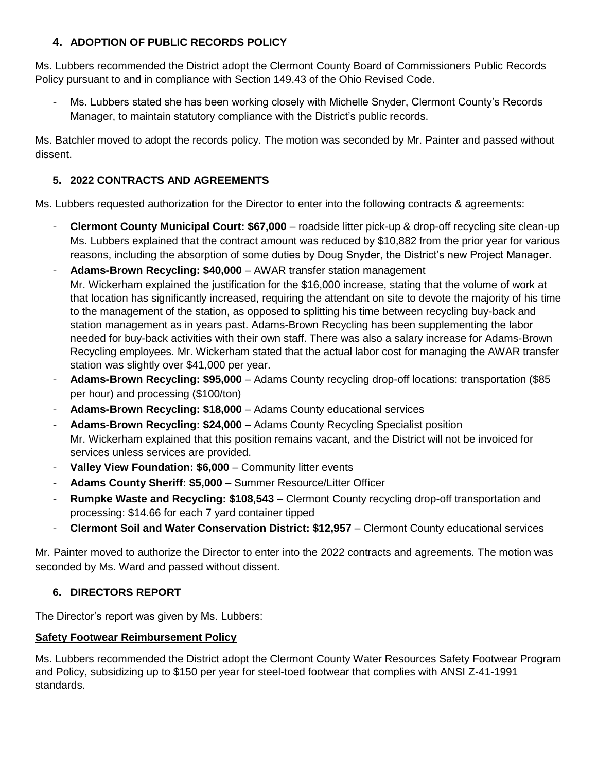# **4. ADOPTION OF PUBLIC RECORDS POLICY**

Ms. Lubbers recommended the District adopt the Clermont County Board of Commissioners Public Records Policy pursuant to and in compliance with Section 149.43 of the Ohio Revised Code.

- Ms. Lubbers stated she has been working closely with Michelle Snyder, Clermont County's Records Manager, to maintain statutory compliance with the District's public records.

Ms. Batchler moved to adopt the records policy. The motion was seconded by Mr. Painter and passed without dissent.

# **5. 2022 CONTRACTS AND AGREEMENTS**

Ms. Lubbers requested authorization for the Director to enter into the following contracts & agreements:

- **Clermont County Municipal Court: \$67,000** roadside litter pick-up & drop-off recycling site clean-up Ms. Lubbers explained that the contract amount was reduced by \$10,882 from the prior year for various reasons, including the absorption of some duties by Doug Snyder, the District's new Project Manager.
- Adams-Brown Recycling: \$40,000 AWAR transfer station management Mr. Wickerham explained the justification for the \$16,000 increase, stating that the volume of work at that location has significantly increased, requiring the attendant on site to devote the majority of his time to the management of the station, as opposed to splitting his time between recycling buy-back and station management as in years past. Adams-Brown Recycling has been supplementing the labor needed for buy-back activities with their own staff. There was also a salary increase for Adams-Brown Recycling employees. Mr. Wickerham stated that the actual labor cost for managing the AWAR transfer station was slightly over \$41,000 per year.
- **Adams-Brown Recycling: \$95,000** Adams County recycling drop-off locations: transportation (\$85 per hour) and processing (\$100/ton)
- **Adams-Brown Recycling: \$18,000** Adams County educational services
- **Adams-Brown Recycling: \$24,000** Adams County Recycling Specialist position Mr. Wickerham explained that this position remains vacant, and the District will not be invoiced for services unless services are provided.
- **Valley View Foundation: \$6,000 Community litter events**
- **Adams County Sheriff: \$5,000** Summer Resource/Litter Officer
- **Rumpke Waste and Recycling: \$108,543** Clermont County recycling drop-off transportation and processing: \$14.66 for each 7 yard container tipped
- **Clermont Soil and Water Conservation District: \$12,957** Clermont County educational services

Mr. Painter moved to authorize the Director to enter into the 2022 contracts and agreements. The motion was seconded by Ms. Ward and passed without dissent.

# **6. DIRECTORS REPORT**

The Director's report was given by Ms. Lubbers:

# **Safety Footwear Reimbursement Policy**

Ms. Lubbers recommended the District adopt the Clermont County Water Resources Safety Footwear Program and Policy, subsidizing up to \$150 per year for steel-toed footwear that complies with ANSI Z-41-1991 standards.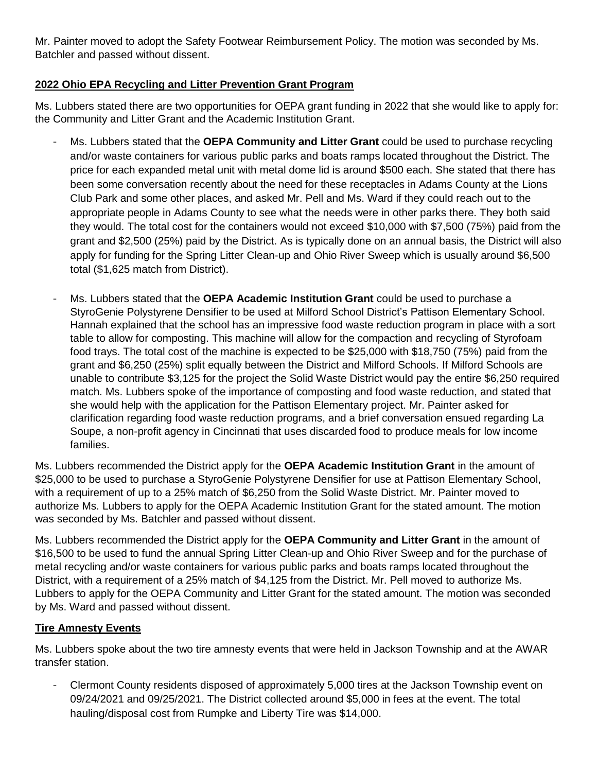Mr. Painter moved to adopt the Safety Footwear Reimbursement Policy. The motion was seconded by Ms. Batchler and passed without dissent.

## **2022 Ohio EPA Recycling and Litter Prevention Grant Program**

Ms. Lubbers stated there are two opportunities for OEPA grant funding in 2022 that she would like to apply for: the Community and Litter Grant and the Academic Institution Grant.

- Ms. Lubbers stated that the **OEPA Community and Litter Grant** could be used to purchase recycling and/or waste containers for various public parks and boats ramps located throughout the District. The price for each expanded metal unit with metal dome lid is around \$500 each. She stated that there has been some conversation recently about the need for these receptacles in Adams County at the Lions Club Park and some other places, and asked Mr. Pell and Ms. Ward if they could reach out to the appropriate people in Adams County to see what the needs were in other parks there. They both said they would. The total cost for the containers would not exceed \$10,000 with \$7,500 (75%) paid from the grant and \$2,500 (25%) paid by the District. As is typically done on an annual basis, the District will also apply for funding for the Spring Litter Clean-up and Ohio River Sweep which is usually around \$6,500 total (\$1,625 match from District).
- Ms. Lubbers stated that the **OEPA Academic Institution Grant** could be used to purchase a StyroGenie Polystyrene Densifier to be used at Milford School District's Pattison Elementary School. Hannah explained that the school has an impressive food waste reduction program in place with a sort table to allow for composting. This machine will allow for the compaction and recycling of Styrofoam food trays. The total cost of the machine is expected to be \$25,000 with \$18,750 (75%) paid from the grant and \$6,250 (25%) split equally between the District and Milford Schools. If Milford Schools are unable to contribute \$3,125 for the project the Solid Waste District would pay the entire \$6,250 required match. Ms. Lubbers spoke of the importance of composting and food waste reduction, and stated that she would help with the application for the Pattison Elementary project. Mr. Painter asked for clarification regarding food waste reduction programs, and a brief conversation ensued regarding La Soupe, a non-profit agency in Cincinnati that uses discarded food to produce meals for low income families.

Ms. Lubbers recommended the District apply for the **OEPA Academic Institution Grant** in the amount of \$25,000 to be used to purchase a StyroGenie Polystyrene Densifier for use at Pattison Elementary School, with a requirement of up to a 25% match of \$6,250 from the Solid Waste District. Mr. Painter moved to authorize Ms. Lubbers to apply for the OEPA Academic Institution Grant for the stated amount. The motion was seconded by Ms. Batchler and passed without dissent.

Ms. Lubbers recommended the District apply for the **OEPA Community and Litter Grant** in the amount of \$16,500 to be used to fund the annual Spring Litter Clean-up and Ohio River Sweep and for the purchase of metal recycling and/or waste containers for various public parks and boats ramps located throughout the District, with a requirement of a 25% match of \$4,125 from the District. Mr. Pell moved to authorize Ms. Lubbers to apply for the OEPA Community and Litter Grant for the stated amount. The motion was seconded by Ms. Ward and passed without dissent.

## **Tire Amnesty Events**

Ms. Lubbers spoke about the two tire amnesty events that were held in Jackson Township and at the AWAR transfer station.

- Clermont County residents disposed of approximately 5,000 tires at the Jackson Township event on 09/24/2021 and 09/25/2021. The District collected around \$5,000 in fees at the event. The total hauling/disposal cost from Rumpke and Liberty Tire was \$14,000.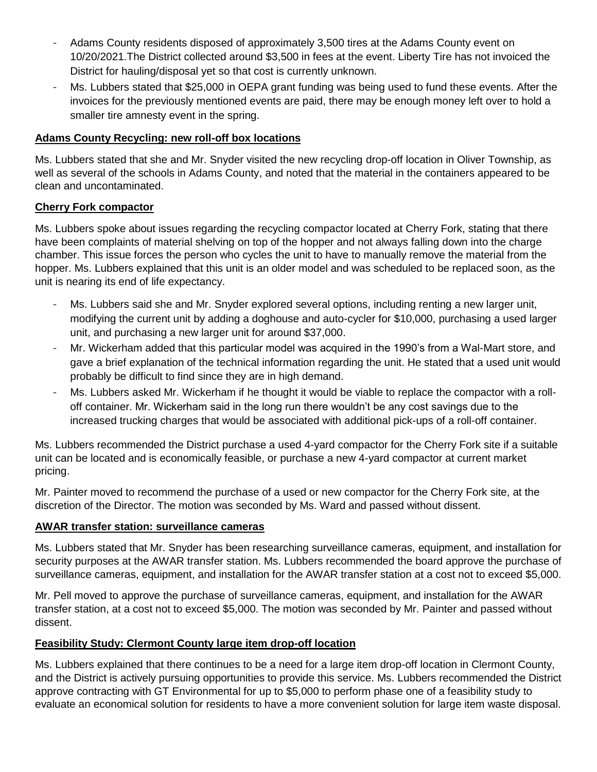- Adams County residents disposed of approximately 3,500 tires at the Adams County event on 10/20/2021.The District collected around \$3,500 in fees at the event. Liberty Tire has not invoiced the District for hauling/disposal yet so that cost is currently unknown.
- Ms. Lubbers stated that \$25,000 in OEPA grant funding was being used to fund these events. After the invoices for the previously mentioned events are paid, there may be enough money left over to hold a smaller tire amnesty event in the spring.

#### **Adams County Recycling: new roll-off box locations**

Ms. Lubbers stated that she and Mr. Snyder visited the new recycling drop-off location in Oliver Township, as well as several of the schools in Adams County, and noted that the material in the containers appeared to be clean and uncontaminated.

#### **Cherry Fork compactor**

Ms. Lubbers spoke about issues regarding the recycling compactor located at Cherry Fork, stating that there have been complaints of material shelving on top of the hopper and not always falling down into the charge chamber. This issue forces the person who cycles the unit to have to manually remove the material from the hopper. Ms. Lubbers explained that this unit is an older model and was scheduled to be replaced soon, as the unit is nearing its end of life expectancy.

- Ms. Lubbers said she and Mr. Snyder explored several options, including renting a new larger unit, modifying the current unit by adding a doghouse and auto-cycler for \$10,000, purchasing a used larger unit, and purchasing a new larger unit for around \$37,000.
- Mr. Wickerham added that this particular model was acquired in the 1990's from a Wal-Mart store, and gave a brief explanation of the technical information regarding the unit. He stated that a used unit would probably be difficult to find since they are in high demand.
- Ms. Lubbers asked Mr. Wickerham if he thought it would be viable to replace the compactor with a rolloff container. Mr. Wickerham said in the long run there wouldn't be any cost savings due to the increased trucking charges that would be associated with additional pick-ups of a roll-off container.

Ms. Lubbers recommended the District purchase a used 4-yard compactor for the Cherry Fork site if a suitable unit can be located and is economically feasible, or purchase a new 4-yard compactor at current market pricing.

Mr. Painter moved to recommend the purchase of a used or new compactor for the Cherry Fork site, at the discretion of the Director. The motion was seconded by Ms. Ward and passed without dissent.

#### **AWAR transfer station: surveillance cameras**

Ms. Lubbers stated that Mr. Snyder has been researching surveillance cameras, equipment, and installation for security purposes at the AWAR transfer station. Ms. Lubbers recommended the board approve the purchase of surveillance cameras, equipment, and installation for the AWAR transfer station at a cost not to exceed \$5,000.

Mr. Pell moved to approve the purchase of surveillance cameras, equipment, and installation for the AWAR transfer station, at a cost not to exceed \$5,000. The motion was seconded by Mr. Painter and passed without dissent.

## **Feasibility Study: Clermont County large item drop-off location**

Ms. Lubbers explained that there continues to be a need for a large item drop-off location in Clermont County, and the District is actively pursuing opportunities to provide this service. Ms. Lubbers recommended the District approve contracting with GT Environmental for up to \$5,000 to perform phase one of a feasibility study to evaluate an economical solution for residents to have a more convenient solution for large item waste disposal.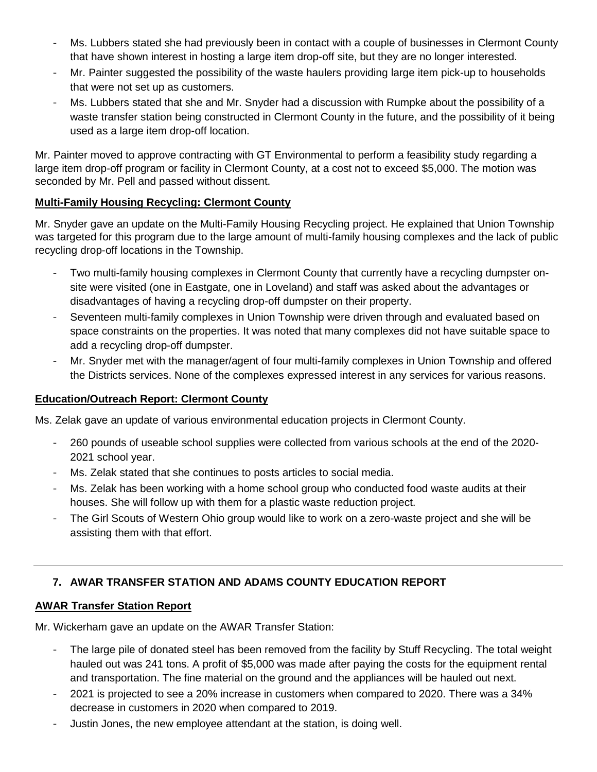- Ms. Lubbers stated she had previously been in contact with a couple of businesses in Clermont County that have shown interest in hosting a large item drop-off site, but they are no longer interested.
- Mr. Painter suggested the possibility of the waste haulers providing large item pick-up to households that were not set up as customers.
- Ms. Lubbers stated that she and Mr. Snyder had a discussion with Rumpke about the possibility of a waste transfer station being constructed in Clermont County in the future, and the possibility of it being used as a large item drop-off location.

Mr. Painter moved to approve contracting with GT Environmental to perform a feasibility study regarding a large item drop-off program or facility in Clermont County, at a cost not to exceed \$5,000. The motion was seconded by Mr. Pell and passed without dissent.

## **Multi-Family Housing Recycling: Clermont County**

Mr. Snyder gave an update on the Multi-Family Housing Recycling project. He explained that Union Township was targeted for this program due to the large amount of multi-family housing complexes and the lack of public recycling drop-off locations in the Township.

- Two multi-family housing complexes in Clermont County that currently have a recycling dumpster onsite were visited (one in Eastgate, one in Loveland) and staff was asked about the advantages or disadvantages of having a recycling drop-off dumpster on their property.
- Seventeen multi-family complexes in Union Township were driven through and evaluated based on space constraints on the properties. It was noted that many complexes did not have suitable space to add a recycling drop-off dumpster.
- Mr. Snyder met with the manager/agent of four multi-family complexes in Union Township and offered the Districts services. None of the complexes expressed interest in any services for various reasons.

## **Education/Outreach Report: Clermont County**

Ms. Zelak gave an update of various environmental education projects in Clermont County.

- 260 pounds of useable school supplies were collected from various schools at the end of the 2020- 2021 school year.
- Ms. Zelak stated that she continues to posts articles to social media.
- Ms. Zelak has been working with a home school group who conducted food waste audits at their houses. She will follow up with them for a plastic waste reduction project.
- The Girl Scouts of Western Ohio group would like to work on a zero-waste project and she will be assisting them with that effort.

# **7. AWAR TRANSFER STATION AND ADAMS COUNTY EDUCATION REPORT**

## **AWAR Transfer Station Report**

Mr. Wickerham gave an update on the AWAR Transfer Station:

- The large pile of donated steel has been removed from the facility by Stuff Recycling. The total weight hauled out was 241 tons. A profit of \$5,000 was made after paying the costs for the equipment rental and transportation. The fine material on the ground and the appliances will be hauled out next.
- 2021 is projected to see a 20% increase in customers when compared to 2020. There was a 34% decrease in customers in 2020 when compared to 2019.
- Justin Jones, the new employee attendant at the station, is doing well.